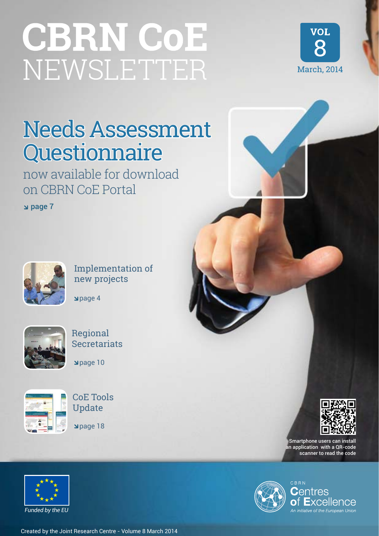# **CBRN CoE** NEWSLETTER



# Needs Assessment Questionnaire

now available for download on CBRN CoE Portal

page 7



Implementation of new projects

page 4





page 10



CoE Tools Update

page 18



Smartphone users can install an application with a QR-code scanner to read the code



*Funded by the EU*

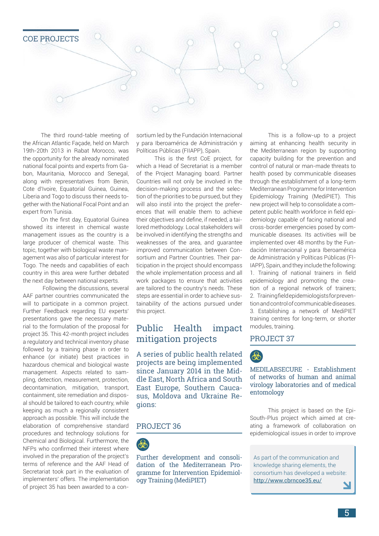

The third round-table meeting of the African Atlantic Façade, held on March 19th-20th 2013 in Rabat Morocco, was the opportunity for the already nominated national focal points and experts from Gabon, Mauritania, Morocco and Senegal, along with representatives from Benin, Cote d'Ivoire, Equatorial Guinea, Guinea, Liberia and Togo to discuss their needs together with the National Focal Point and an expert from Tunisia.

On the first day, Equatorial Guinea showed its interest in chemical waste management issues as the country is a large producer of chemical waste. This topic, together with biological waste management was also of particular interest for Togo. The needs and capabilities of each country in this area were further debated the next day between national experts.

 Following the discussions, several AAF partner countries communicated the will to participate in a common project. Further Feedback regarding EU experts' presentations gave the necessary material to the formulation of the proposal for project 35. This 42-month project includes a regulatory and technical inventory phase followed by a training phase in order to enhance (or initiate) best practices in hazardous chemical and biological waste management. Aspects related to sampling, detection, measurement, protection, decontamination, mitigation, transport, containment, site remediation and disposal should be tailored to each country, while keeping as much a regionally consistent approach as possible. This will include the elaboration of comprehensive standard procedures and technology solutions for Chemical and Biological. Furthermore, the NFPs who confirmed their interest where involved in the preparation of the project's terms of reference and the AAF Head of Secretariat took part in the evaluation of implementers' offers. The implementation of project 35 has been awarded to a consortium led by the Fundación Internacional y para Iberoamérica de Administración y Políticas Públicas (FIIAPP), Spain.

This is the first CoE project, for which a Head of Secretariat is a member of the Project Managing board. Partner Countries will not only be involved in the decision-making process and the selection of the priorities to be pursued, but they will also instil into the project the preferences that will enable them to achieve their objectives and define, if needed, a tailored methodology. Local stakeholders will be involved in identifying the strengths and weaknesses of the area, and guarantee improved communication between Consortium and Partner Countries. Their participation in the project should encompass the whole implementation process and all work packages to ensure that activities are tailored to the country's needs. These steps are essential in order to achieve sustainability of the actions pursued under this project.

# Public Health impact mitigation projects

A series of public health related projects are being implemented since January 2014 in the Middle East, North Africa and South East Europe, Southern Caucasus, Moldova and Ukraine Regions:

### PROJECT 36



Further development and consolidation of the Mediterranean Programme for Intervention Epidemiology Training (MediPIET)

This is a follow-up to a project aiming at enhancing health security in the Mediterranean region by supporting capacity building for the prevention and control of natural or man-made threats to health posed by communicable diseases through the establishment of a long-term Mediterranean Programme for Intervention Epidemiology Training (MediPIET). This new project will help to consolidate a competent public health workforce in field epidemiology capable of facing national and cross-border emergencies posed by communicable diseases. Its activities will be implemented over 48 months by the Fundación Internacional y para Iberoamérica de Administración y Políticas Públicas (FI-IAPP), Spain, and they include the following: 1. Training of national trainers in field epidemiology and promoting the creation of a regional network of trainers; 2. Training field epidemiologists for prevention and control of communicable diseases. 3. Establishing a network of MediPIET training centres for long-term, or shorter modules, training.

#### PROJECT 37



#### MEDILABSECURE - Establishment of networks of human and animal virology laboratories and of medical entomology

This project is based on the Epi-South-Plus project which aimed at creating a framework of collaboration on epidemiological issues in order to improve

As part of the communication and knowledge sharing elements, the consortium has developed a website: http://www.cbrncoe35.eu/